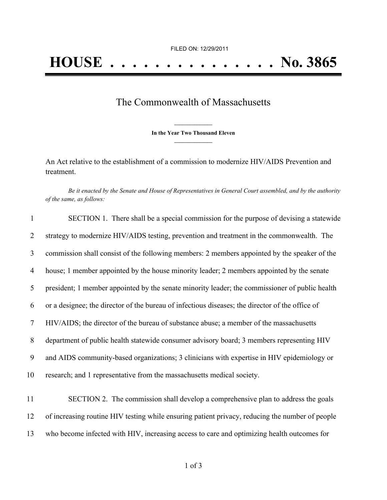## The Commonwealth of Massachusetts

**\_\_\_\_\_\_\_\_\_\_\_\_\_\_\_ In the Year Two Thousand Eleven \_\_\_\_\_\_\_\_\_\_\_\_\_\_\_**

An Act relative to the establishment of a commission to modernize HIV/AIDS Prevention and treatment.

Be it enacted by the Senate and House of Representatives in General Court assembled, and by the authority *of the same, as follows:*

| $\mathbf{1}$ | SECTION 1. There shall be a special commission for the purpose of devising a statewide          |
|--------------|-------------------------------------------------------------------------------------------------|
| 2            | strategy to modernize HIV/AIDS testing, prevention and treatment in the commonwealth. The       |
| 3            | commission shall consist of the following members: 2 members appointed by the speaker of the    |
| 4            | house; 1 member appointed by the house minority leader; 2 members appointed by the senate       |
| 5            | president; 1 member appointed by the senate minority leader; the commissioner of public health  |
| 6            | or a designee; the director of the bureau of infectious diseases; the director of the office of |
| 7            | HIV/AIDS; the director of the bureau of substance abuse; a member of the massachusetts          |
| 8            | department of public health statewide consumer advisory board; 3 members representing HIV       |
| 9            | and AIDS community-based organizations; 3 clinicians with expertise in HIV epidemiology or      |
| 10           | research; and 1 representative from the massachusetts medical society.                          |
| 11           | SECTION 2. The commission shall develop a comprehensive plan to address the goals               |
| 12           | of increasing routine HIV testing while ensuring patient privacy, reducing the number of people |
| 13           | who become infected with HIV, increasing access to care and optimizing health outcomes for      |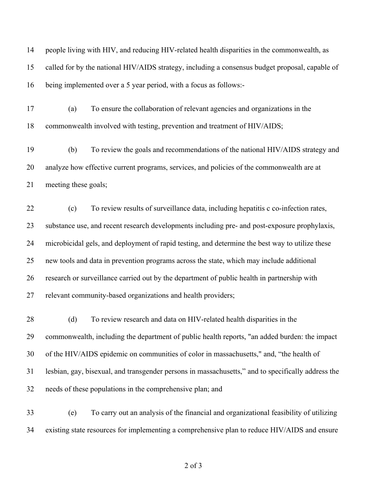people living with HIV, and reducing HIV-related health disparities in the commonwealth, as called for by the national HIV/AIDS strategy, including a consensus budget proposal, capable of being implemented over a 5 year period, with a focus as follows:-

 (a) To ensure the collaboration of relevant agencies and organizations in the commonwealth involved with testing, prevention and treatment of HIV/AIDS;

 (b) To review the goals and recommendations of the national HIV/AIDS strategy and analyze how effective current programs, services, and policies of the commonwealth are at meeting these goals;

 (c) To review results of surveillance data, including hepatitis c co-infection rates, substance use, and recent research developments including pre- and post-exposure prophylaxis, microbicidal gels, and deployment of rapid testing, and determine the best way to utilize these new tools and data in prevention programs across the state, which may include additional research or surveillance carried out by the department of public health in partnership with relevant community-based organizations and health providers;

28 (d) To review research and data on HIV-related health disparities in the commonwealth, including the department of public health reports, "an added burden: the impact of the HIV/AIDS epidemic on communities of color in massachusetts," and, "the health of lesbian, gay, bisexual, and transgender persons in massachusetts," and to specifically address the needs of these populations in the comprehensive plan; and

 (e) To carry out an analysis of the financial and organizational feasibility of utilizing existing state resources for implementing a comprehensive plan to reduce HIV/AIDS and ensure

of 3